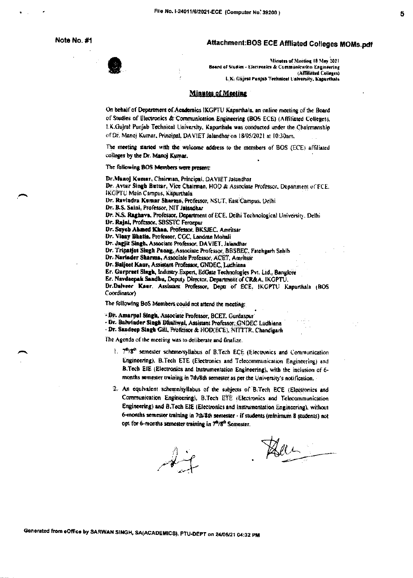Note No. #1

## Attachment:BOS ECE Affliated Colleges MOMs.pdf

Minutes of Meeting 18 May 2021 Board of Studies - Electronics & Communication Engineering (Affiliated Colleges) I. K. Guiral Punjab Technical University, Kapurthala

## **Minutes of Meeting**

On behalf of Department of Academics IKGPTU Kapurthala, an online meeting of the Board of Studies of Electronics & Communication Engineering (BOS ECE) (Affiliated Colleges). 1.K.Gujral Punjab Technical University, Kapurihala was conducted under the Chairmanship of Dr. Manoj Kumar, Principal, DAVIET Jalandhar on 18/05/2021 at 10:30am.

The meeting started with the welcome address to the members of BOS (ECE) affiliated colleges by the Dr. Manoj Kumar.

## The following BOS Members were present:

Dr.Munoj Kumar, Chairman, Principal, DAVIET Jalandhar

Dr. Avtar Singh Buttar, Vice Chairman, HOD & Associate Professor, Department of FCE. **IKOPTU Main Campus, Kapurthala** 

Dr. Ravindra Kumar Sharma, Professor, NSUT, East Campus, Delhi

Dr. B.S. Saini, Professor, NIT Jaiandhar

Dr. N.S. Raghava, Professor, Department of ECE, Delhi Technological University, Delhi

Dr. Rajni, Professor, SBSSTC Ferozpur

Dr. Sayeb Ahmed Khaa, Professor, BKSJEC, Amritsar

Dr. Vieny Bhatla, Professor, CGC, Landran Mohali

Dr. Jagjit Singh, Associate Professor, DAVIET, Jalandhar

Dr. Tripatjot Singh Panag, Associate Professor, BBSBEC, Fatchgarh Sahib

Dr. Nariader Sharma, Associate Professor, ACET, Amritsar

Dr. Baljeet Kaur, Assistant Professor, GNDEC, Ludhiana

Er. Gurpreet Singh, Industry Expert, EdGate Technologies Pvt. Ltd., Banglore

Er. Navdeepak Sandhu, Deputy Director. Department of CR&A, IKGPTU.

Dr.Dalveer Kaur, Assistant Professor, Depti of ECE, HGPTU Kapurthala (BOS Coordinator)

The following BoS Members could not attend the meeting:

- 5%. Amarpal Singh, Associate Professor, BCET. Gurdaspur

- Dr. Balwinder Singh Dhaliwal, Assistant Professor, GNDEC Ludhiana

- Dr. Sandeep Singh Gill, Professor & HOD(ECE), NITTTR, Chandigarh

The Agenda of the meeting was to deliberate and finalize.

- 1. 7<sup>th</sup>/8<sup>th</sup> semester scheme/syllabus of B.Tech ECE (Electronics and Communication Engineering), B.Tech ETE (Electronics and Telecommunication Engineering) and B.Tech EIE (Electronics and Instrumentation Engineering), with the inclusion of 6months semester training in 7th/8th semester as oer the University's notification.
- 2. An equivalent scheme/syllabus of the subjects of B.Tech ECE (Electronics and Communication Engineering), B.Tech ETE (Electronics and Telecommunication Engineering) and B.Tech EIE (Electronics and Instrumentation Engineering), without 6-months semester training in 7th/8th semester - if students (minimum 8 students) not opt for 6-months semester training in 7<sup>4</sup>/8<sup>th</sup> Semester.